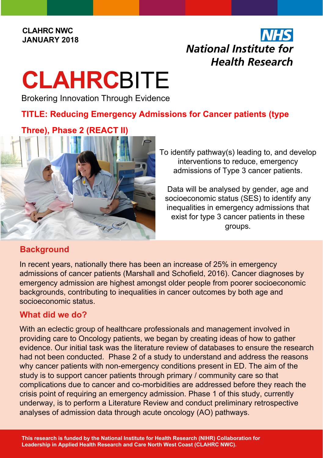#### **CLAHRC NWC JANUARY 2018**

## **NHS National Institute for Health Research**

# **CLAHRC**BITE

Brokering Innovation Through Evidence

### **TITLE: Reducing Emergency Admissions for Cancer patients (type**

#### **Three), Phase 2 (REACT II)**



To identify pathway(s) leading to, and develop interventions to reduce, emergency admissions of Type 3 cancer patients.

Data will be analysed by gender, age and socioeconomic status (SES) to identify any inequalities in emergency admissions that exist for type 3 cancer patients in these groups.

#### **Background**

In recent years, nationally there has been an increase of 25% in emergency admissions of cancer patients (Marshall and Schofield, 2016). Cancer diagnoses by emergency admission are highest amongst older people from poorer socioeconomic backgrounds, contributing to inequalities in cancer outcomes by both age and socioeconomic status.

#### **What did we do?**

With an eclectic group of healthcare professionals and management involved in providing care to Oncology patients, we began by creating ideas of how to gather evidence. Our initial task was the literature review of databases to ensure the research had not been conducted. Phase 2 of a study to understand and address the reasons why cancer patients with non-emergency conditions present in ED. The aim of the study is to support cancer patients through primary / community care so that complications due to cancer and co-morbidities are addressed before they reach the crisis point of requiring an emergency admission. Phase 1 of this study, currently underway, is to perform a Literature Review and conduct preliminary retrospective analyses of admission data through acute oncology (AO) pathways.